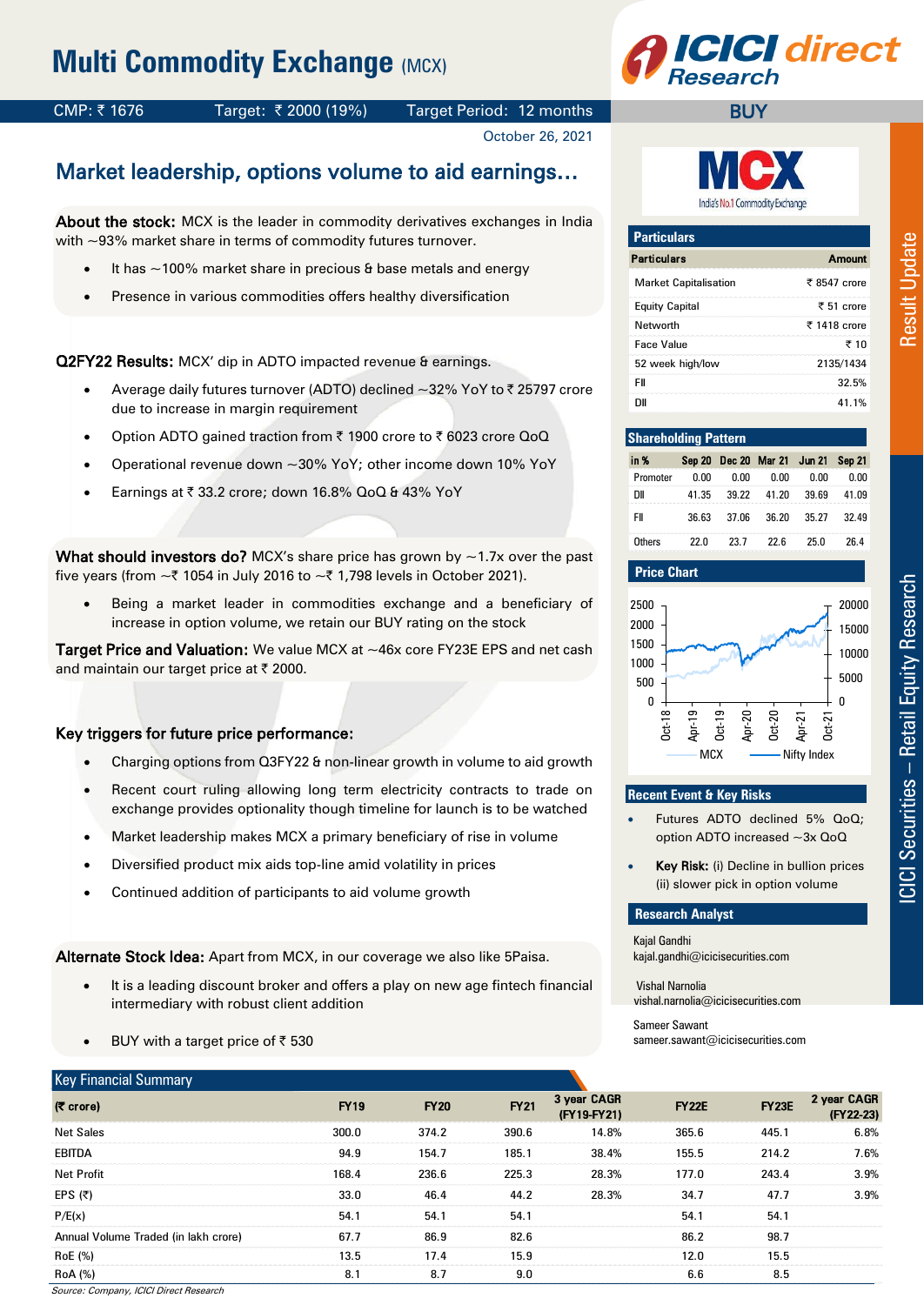# **Multi Commodity Exchange (MCX)**



## CMP: ₹1676 Target: ₹2000 (19%) Target Period: 12 months

October 26, 2021

## Market leadership, options volume to aid earnings…

About the stock: MCX is the leader in commodity derivatives exchanges in India with ~93% market share in terms of commodity futures turnover.

- It has  $\sim$ 100% market share in precious & base metals and energy
- Presence in various commodities offers healthy diversification

Q2FY22 Results: MCX' dip in ADTO impacted revenue & earnings.

- Average daily futures turnover (ADTO) declined ~32% YoY to ₹ 25797 crore due to increase in margin requirement
- Option ADTO gained traction from ₹ 1900 crore to ₹ 6023 crore QoQ
- Operational revenue down ~30% YoY; other income down 10% YoY
- Earnings at  $\overline{\zeta}$  33.2 crore; down 16.8% QoQ & 43% YoY

What should investors do? MCX's share price has grown by  $\sim$ 1.7x over the past five years (from  $\sim$  71054 in July 2016 to  $\sim$  71,798 levels in October 2021).

 Being a market leader in commodities exchange and a beneficiary of increase in option volume, we retain our BUY rating on the stock

Target Price and Valuation: We value MCX at ~46x core FY23E EPS and net cash and maintain our target price at ₹ 2000.

### Key triggers for future price performance:

- Charging options from Q3FY22 & non-linear growth in volume to aid growth
- Recent court ruling allowing long term electricity contracts to trade on exchange provides optionality though timeline for launch is to be watched
- Market leadership makes MCX a primary beneficiary of rise in volume
- Diversified product mix aids top-line amid volatility in prices
- Continued addition of participants to aid volume growth

Alternate Stock Idea: Apart from MCX, in our coverage we also like 5Paisa.

- It is a leading discount broker and offers a play on new age fintech financial intermediary with robust client addition
- BUY with a target price of  $\bar{z}$  530



**BUY** 

| Amount                  |
|-------------------------|
| ₹ 8547 crore            |
| $\overline{z}$ 51 crore |
| ₹ 1418 crore            |
| ₹ 10                    |
| 2135/1434               |
| 32.5%                   |
| 41 1%                   |
|                         |

#### **Shareholding Pattern**

| in %     |       |       | Sep 20 Dec 20 Mar 21 Jun 21 Sep 21 |       |       |
|----------|-------|-------|------------------------------------|-------|-------|
| Promoter | 0.OO  | 0.00  | 0.00                               | 0.00  | 0.00  |
| DΙΙ      | 41.35 | 39.22 | 41.20                              | 39.69 | 41.09 |
| FII      | 36.63 | 37.06 | 36.20                              | 35.27 | 32.49 |
| Others   | 22 N  | 23.7  | 22 R                               | 25 N  | 26 4  |

#### **Price Chart**



#### **Recent Event & Key Risks**

- Futures ADTO declined 5% QoQ; option ADTO increased ~3x QoQ
- Key Risk: (i) Decline in bullion prices (ii) slower pick in option volume

#### **Research Analyst**

Kajal Gandhi kajal.gandhi@icicisecurities.com

Vishal Narnolia vishal.narnolia@icicisecurities.com

Sameer Sawant sameer.sawant@icicisecurities.com

| <b>Key Financial Summary</b>         |             |             |             |                            |              |              |                          |
|--------------------------------------|-------------|-------------|-------------|----------------------------|--------------|--------------|--------------------------|
| $($ ₹ crore $)$                      | <b>FY19</b> | <b>FY20</b> | <b>FY21</b> | 3 year CAGR<br>(FY19-FY21) | <b>FY22E</b> | <b>FY23E</b> | 2 year CAGR<br>(FY22-23) |
| <b>Net Sales</b>                     | 300.0       | 374.2       | 390.6       | 14.8%                      | 365.6        | 445.1        | 6.8%                     |
| <b>EBITDA</b>                        | 94.9        | 154.7       | 185.1       | 38.4%                      | 155.5        | 214.2        | 7.6%                     |
| Net Profit                           | 168.4       | 236.6       | 225.3       | 28.3%                      | 177.0        | 243.4        | $3.9\%$                  |
| EPS $(5)$                            | 33.0        | 46.4        | 44.2        | 28.3%                      | 34.7         | 47.7         | 3.9%                     |
| P/E(x)                               | 54.1        | 54.1        | 54.1        |                            | 54.1         | 54.1         |                          |
| Annual Volume Traded (in lakh crore) | 67.7        | 86.9        | 82.6        |                            | 86.2         | 98.7         |                          |
| RoE (%)                              | 13.5        | 17.4        | 15.9        |                            | 12.0         | 15.5         |                          |
| <b>RoA</b> (%)                       | 8.1         | 8.7         | 9.0         |                            | 6.6          | 8.5          |                          |

Source: Company, ICICI Direct Research

– Retail Equity Research Result Update **ICICI Securities - Retail Equity Research** 

Result Update

ICICI Securities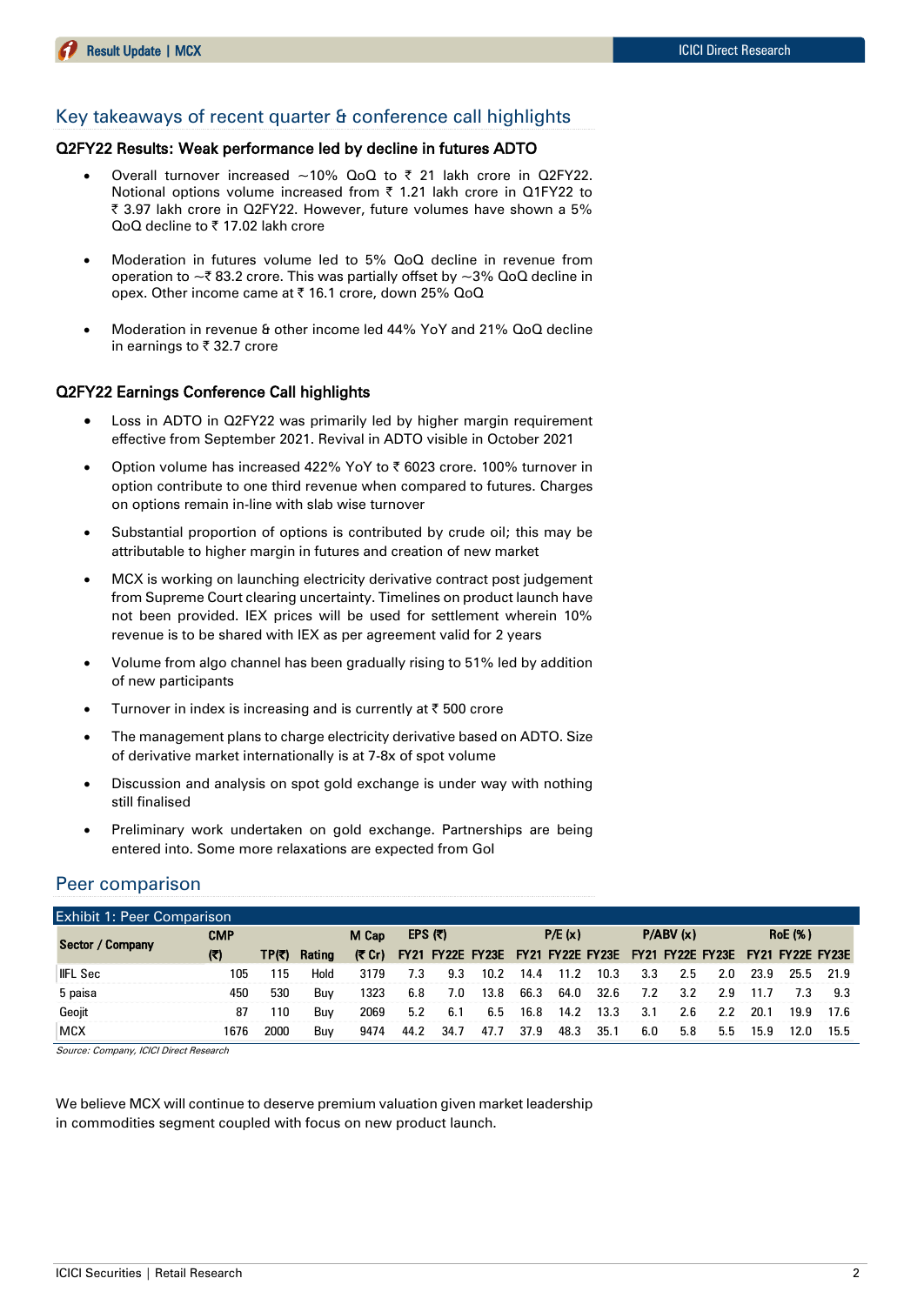### Key takeaways of recent quarter & conference call highlights

#### Q2FY22 Results: Weak performance led by decline in futures ADTO

- Overall turnover increased  $\sim$ 10% QoQ to  $\bar{\tau}$  21 lakh crore in Q2FY22. Notional options volume increased from  $\bar{\tau}$  1.21 lakh crore in Q1FY22 to | 3.97 lakh crore in Q2FY22. However, future volumes have shown a 5% QoQ decline to ₹17.02 lakh crore
- Moderation in futures volume led to 5% QoQ decline in revenue from operation to  $\sim$  ₹ 83.2 crore. This was partially offset by  $\sim$  3% QoQ decline in opex. Other income came at ₹ 16.1 crore, down 25% QoQ
- Moderation in revenue & other income led 44% YoY and 21% QoQ decline in earnings to  $\bar{\tau}$  32.7 crore

#### Q2FY22 Earnings Conference Call highlights

- Loss in ADTO in Q2FY22 was primarily led by higher margin requirement effective from September 2021. Revival in ADTO visible in October 2021
- Option volume has increased 422% YoY to ₹ 6023 crore. 100% turnover in option contribute to one third revenue when compared to futures. Charges on options remain in-line with slab wise turnover
- Substantial proportion of options is contributed by crude oil; this may be attributable to higher margin in futures and creation of new market
- MCX is working on launching electricity derivative contract post judgement from Supreme Court clearing uncertainty. Timelines on product launch have not been provided. IEX prices will be used for settlement wherein 10% revenue is to be shared with IEX as per agreement valid for 2 years
- Volume from algo channel has been gradually rising to 51% led by addition of new participants
- Turnover in index is increasing and is currently at  $\bar{\tau}$  500 crore
- The management plans to charge electricity derivative based on ADTO. Size of derivative market internationally is at 7-8x of spot volume
- Discussion and analysis on spot gold exchange is under way with nothing still finalised
- Preliminary work undertaken on gold exchange. Partnerships are being entered into. Some more relaxations are expected from GoI

### Peer comparison

| Exhibit 1: Peer Comparison |            |        |        |       |      |           |                                                                            |      |        |      |     |          |     |      |                |      |
|----------------------------|------------|--------|--------|-------|------|-----------|----------------------------------------------------------------------------|------|--------|------|-----|----------|-----|------|----------------|------|
| Sector / Company           | <b>CMP</b> |        |        | M Cap |      | EPS $(3)$ |                                                                            |      | P/E(x) |      |     | P/ABV(x) |     |      | <b>RoE</b> (%) |      |
|                            | (7)        | TP(₹). | Rating |       |      |           | (₹ Cr) FY21 FY22E FY23E FY21 FY22E FY23E FY21 FY22E FY23E FY21 FY22E FY23E |      |        |      |     |          |     |      |                |      |
| <b>IFL Sec</b>             | 105        | 115    | Hold   | 3179  | 7.3  | 9.3       | 10.2                                                                       | 14.4 | 11.7   | 10.3 | 3.3 | 2.5      | 2.0 | 23.9 | 25.5           | 21.9 |
| 5 paisa                    | 450        | 530    | Buv    | 1323  | 6.8  | 7.0       | 13.8                                                                       | 66.3 | 64.0   | 32.6 | 7.2 | 3.2      | 2.9 |      | 7.3            | 93   |
| Geoiit                     | 87         | 110    | Buv    | 2069  | 5.2  | 6.1       | 6.5                                                                        | 16.8 | 14.2   | 13.3 | 3.1 | 2.6      | 2.2 | 20.1 | 19.9           | 17.6 |
| <b>MCX</b>                 | 1676       | 2000   | Buv    | 9474  | 44.2 | 34.7      | 47.7                                                                       | 37.9 | 48.3   | 35.1 | 6.0 | 5.8      | 5.5 | 15.9 |                | 15.5 |

Source: Company, ICICI Direct Research

We believe MCX will continue to deserve premium valuation given market leadership in commodities segment coupled with focus on new product launch.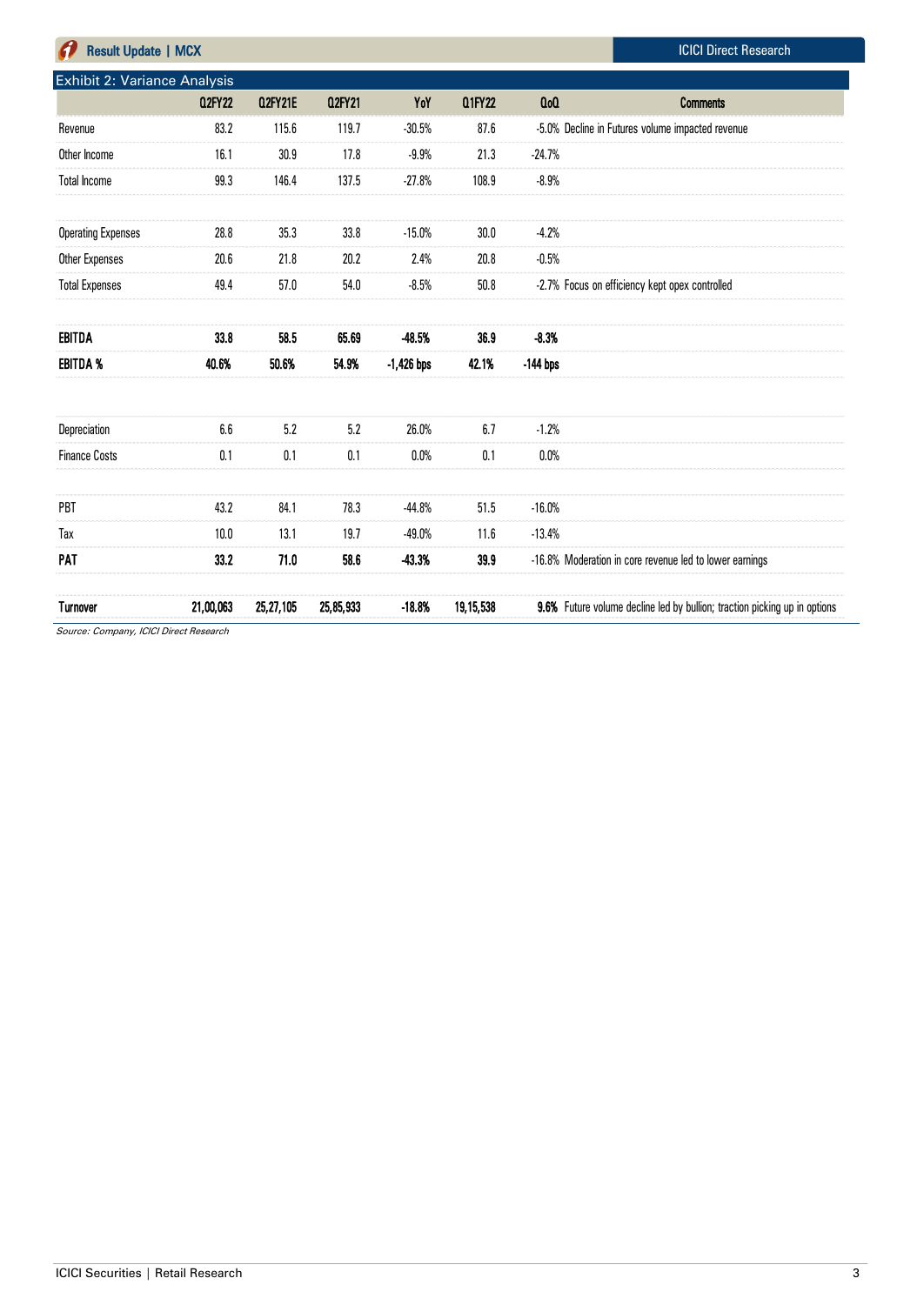| <b>Result Update   MCX</b>   |               |                |               |              |               |                | <b>ICICI Direct Research</b>                                              |
|------------------------------|---------------|----------------|---------------|--------------|---------------|----------------|---------------------------------------------------------------------------|
| Exhibit 2: Variance Analysis |               |                |               |              |               |                |                                                                           |
|                              | <b>Q2FY22</b> | <b>Q2FY21E</b> | <b>Q2FY21</b> | YoY          | <b>Q1FY22</b> | 0 <sub>0</sub> | <b>Comments</b>                                                           |
| Revenue                      | 83.2          | 115.6          | 119.7         | $-30.5%$     | 87.6          |                | -5.0% Decline in Futures volume impacted revenue                          |
| Other Income                 | 16.1          | 30.9           | 17.8          | $-9.9%$      | 21.3          | $-24.7%$       |                                                                           |
| <b>Total Income</b>          | 99.3          | 146.4          | 137.5         | $-27.8%$     | 108.9         | $-8.9%$        |                                                                           |
|                              |               |                |               |              |               |                |                                                                           |
| <b>Operating Expenses</b>    | 28.8          | 35.3           | 33.8          | $-15.0%$     | 30.0          | $-4.2%$        |                                                                           |
| Other Expenses               | 20.6          | 21.8           | 20.2          | 2.4%         | 20.8          | $-0.5%$        |                                                                           |
| <b>Total Expenses</b>        | 49.4          | 57.0           | 54.0          | $-8.5%$      | 50.8          |                | -2.7% Focus on efficiency kept opex controlled                            |
|                              |               |                |               |              |               |                |                                                                           |
| EBITDA                       | 33.8          | 58.5           | 65.69         | -48.5%       | 36.9          | $-8.3%$        |                                                                           |
| <b>EBITDA %</b>              | 40.6%         | 50.6%          | 54.9%         | $-1,426$ bps | 42.1%         | $-144$ bps     |                                                                           |
|                              |               |                |               |              |               |                |                                                                           |
| Depreciation                 | 6.6           | 5.2            | 5.2           | 26.0%        | 6.7           | $-1.2%$        |                                                                           |
| <b>Finance Costs</b>         | 0.1           | 0.1            | 0.1           | 0.0%         | 0.1           | 0.0%           |                                                                           |
|                              |               |                |               |              |               |                |                                                                           |
| PBT                          | 43.2          | 84.1           | 78.3          | $-44.8%$     | 51.5          | $-16.0%$       |                                                                           |
| Tax                          | 10.0          | 13.1           | 19.7          | $-49.0%$     | 11.6          | $-13.4%$       |                                                                           |
| <b>PAT</b>                   | 33.2          | 71.0           | 58.6          | 43.3%        | 39.9          |                | -16.8% Moderation in core revenue led to lower earnings                   |
|                              |               |                |               |              |               |                |                                                                           |
| <b>Turnover</b>              | 21,00,063     | 25,27,105      | 25,85,933     | $-18.8%$     | 19,15,538     |                | 9.6% Future volume decline led by bullion; traction picking up in options |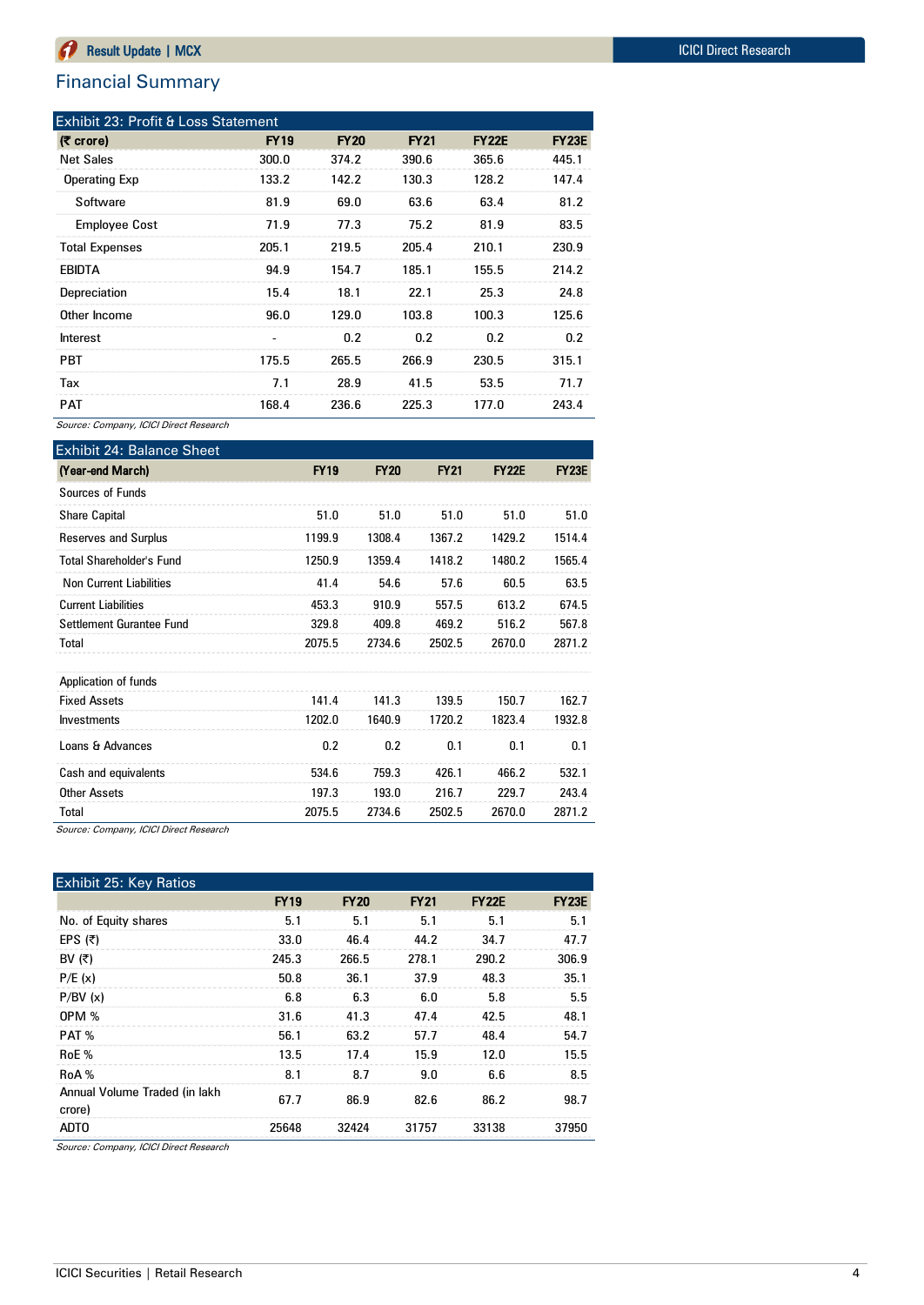## Financial Summary

| Exhibit 23: Profit & Loss Statement |                              |             |             |              |              |  |  |  |  |  |  |
|-------------------------------------|------------------------------|-------------|-------------|--------------|--------------|--|--|--|--|--|--|
| $(5 \text{ core})$                  | <b>FY19</b>                  | <b>FY20</b> | <b>FY21</b> | <b>FY22E</b> | <b>FY23E</b> |  |  |  |  |  |  |
| <b>Net Sales</b>                    | 300.0                        | 374.2       | 390.6       | 365.6        | 445.1        |  |  |  |  |  |  |
| <b>Operating Exp</b>                | 133.2                        | 142.2       | 130.3       | 128.2        | 147.4        |  |  |  |  |  |  |
| Software                            | 81.9                         | 69.0        | 63.6        | 63.4         | 81.2         |  |  |  |  |  |  |
| <b>Employee Cost</b>                | 71.9                         | 77.3        | 75.2        | 81.9         | 83.5         |  |  |  |  |  |  |
| <b>Total Expenses</b>               | 205.1                        | 219.5       | 205.4       | 210.1        | 230.9        |  |  |  |  |  |  |
| <b>EBIDTA</b>                       | 94.9                         | 154.7       | 185.1       | 155.5        | 214.2        |  |  |  |  |  |  |
| Depreciation                        | 15.4                         | 18.1        | 22.1        | 25.3         | 24.8         |  |  |  |  |  |  |
| Other Income                        | 96.0                         | 129.0       | 103.8       | 100.3        | 125.6        |  |  |  |  |  |  |
| Interest                            | $\qquad \qquad \blacksquare$ | 0.2         | 0.2         | 0.2          | 0.2          |  |  |  |  |  |  |
| <b>PBT</b>                          | 175.5                        | 265.5       | 266.9       | 230.5        | 315.1        |  |  |  |  |  |  |
| Tax                                 | 7.1                          | 28.9        | 41.5        | 53.5         | 71.7         |  |  |  |  |  |  |
| <b>PAT</b>                          | 168.4                        | 236.6       | 225.3       | 177.0        | 243.4        |  |  |  |  |  |  |

Source: Company, ICICI Direct Research

| <b>Exhibit 24: Balance Sheet</b> |             |             |             |              |              |
|----------------------------------|-------------|-------------|-------------|--------------|--------------|
| (Year-end March)                 | <b>FY19</b> | <b>FY20</b> | <b>FY21</b> | <b>FY22E</b> | <b>FY23E</b> |
| Sources of Funds                 |             |             |             |              |              |
| <b>Share Capital</b>             | 51.0        | 51.0        | 51.0        | 51.0         | 51.0         |
| Reserves and Surplus             | 1199.9      | 1308.4      | 1367.2      | 1429.2       | 1514.4       |
| Total Shareholder's Fund         | 1250.9      | 1359.4      | 1418.2      | 1480.2       | 1565.4       |
| <b>Non Current Liabilities</b>   | 41.4        | 54.6        | 57.6        | 60.5         | 63.5         |
| <b>Current Liabilities</b>       | 453.3       | 910.9       | 557.5       | 613.2        | 674.5        |
| Settlement Gurantee Fund         | 329.8       | 409.8       | 469.2       | 516.2        | 567.8        |
| Total                            | 2075.5      | 2734.6      | 2502.5      | 2670.0       | 2871.2       |
| Application of funds             |             |             |             |              |              |
| <b>Fixed Assets</b>              | 141.4       | 141.3       | 139.5       | 150.7        | 162.7        |
| Investments                      | 1202.0      | 1640.9      | 1720.2      | 1823.4       | 1932.8       |
| Loans & Advances                 | 0.2         | 0.2         | 0.1         | 0.1          | 0.1          |
| Cash and equivalents             | 534.6       | 759.3       | 426.1       | 466.2        | 532.1        |
| <b>Other Assets</b>              | 197.3       | 193.0       | 216.7       | 229.7        | 243.4        |
| Total                            | 2075.5      | 2734.6      | 2502.5      | 2670.0       | 2871.2       |

Source: Company, ICICI Direct Research

| <b>Exhibit 25: Key Ratios</b>           |             |             |             |              |              |
|-----------------------------------------|-------------|-------------|-------------|--------------|--------------|
|                                         | <b>FY19</b> | <b>FY20</b> | <b>FY21</b> | <b>FY22E</b> | <b>FY23E</b> |
| No. of Equity shares                    | 5.1         | 5.1         | 5.1         | 5.1          | 5.1          |
| EPS $(5)$                               | 33.0        | 46.4        | 44.2        | 34.7         | 47.7         |
| BV $(\bar{z})$                          | 245.3       | 266.5       | 278.1       | 290.2        | 306.9        |
| P/E(x)                                  | 50.8        | 36.1        | 37.9        | 48.3         | 35.1         |
| P/BV(x)                                 | 6.8         | 6.3         | 6.0         | 5.8          | 5.5          |
| <b>OPM %</b>                            | 31.6        | 41.3        | 47.4        | 42.5         | 48.1         |
| PAT %                                   | 56.1        | 63.2        | 57.7        | 48.4         | 54.7         |
| RoE %                                   | 13.5        | 17.4        | 15.9        | 12.0         | 15.5         |
| RoA %                                   | 8.1         | 8.7         | 9.0         | 6.6          | 8.5          |
| Annual Volume Traded (in lakh<br>crore) | 67.7        | 86.9        | 82.6        | 86.2         | 98.7         |
| ADT <sub>0</sub>                        | 25648       | 32424       | 31757       | 33138        | 37950        |

Source: Company, ICICI Direct Research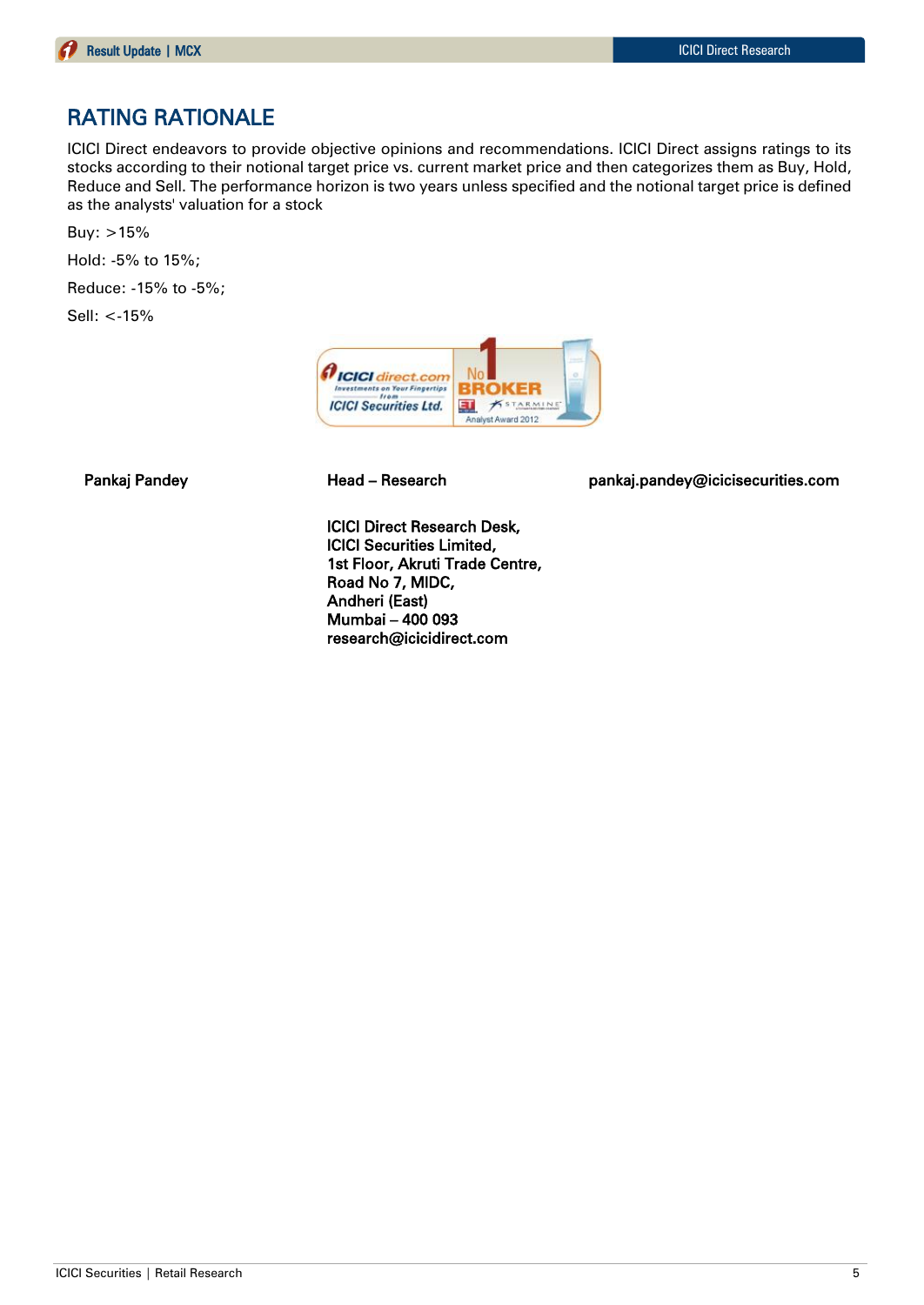## RATING RATIONALE

ICICI Direct endeavors to provide objective opinions and recommendations. ICICI Direct assigns ratings to its stocks according to their notional target price vs. current market price and then categorizes them as Buy, Hold, Reduce and Sell. The performance horizon is two years unless specified and the notional target price is defined as the analysts' valuation for a stock

Buy: >15%

Hold: -5% to 15%;

Reduce: -15% to -5%;

Sell: <-15%



Pankaj Pandey **Head – Research head pankaj.pandey@icicisecurities.com** 

ICICI Direct Research Desk, ICICI Securities Limited, 1st Floor, Akruti Trade Centre, Road No 7, MIDC, Andheri (East) Mumbai – 400 093 research@icicidirect.com